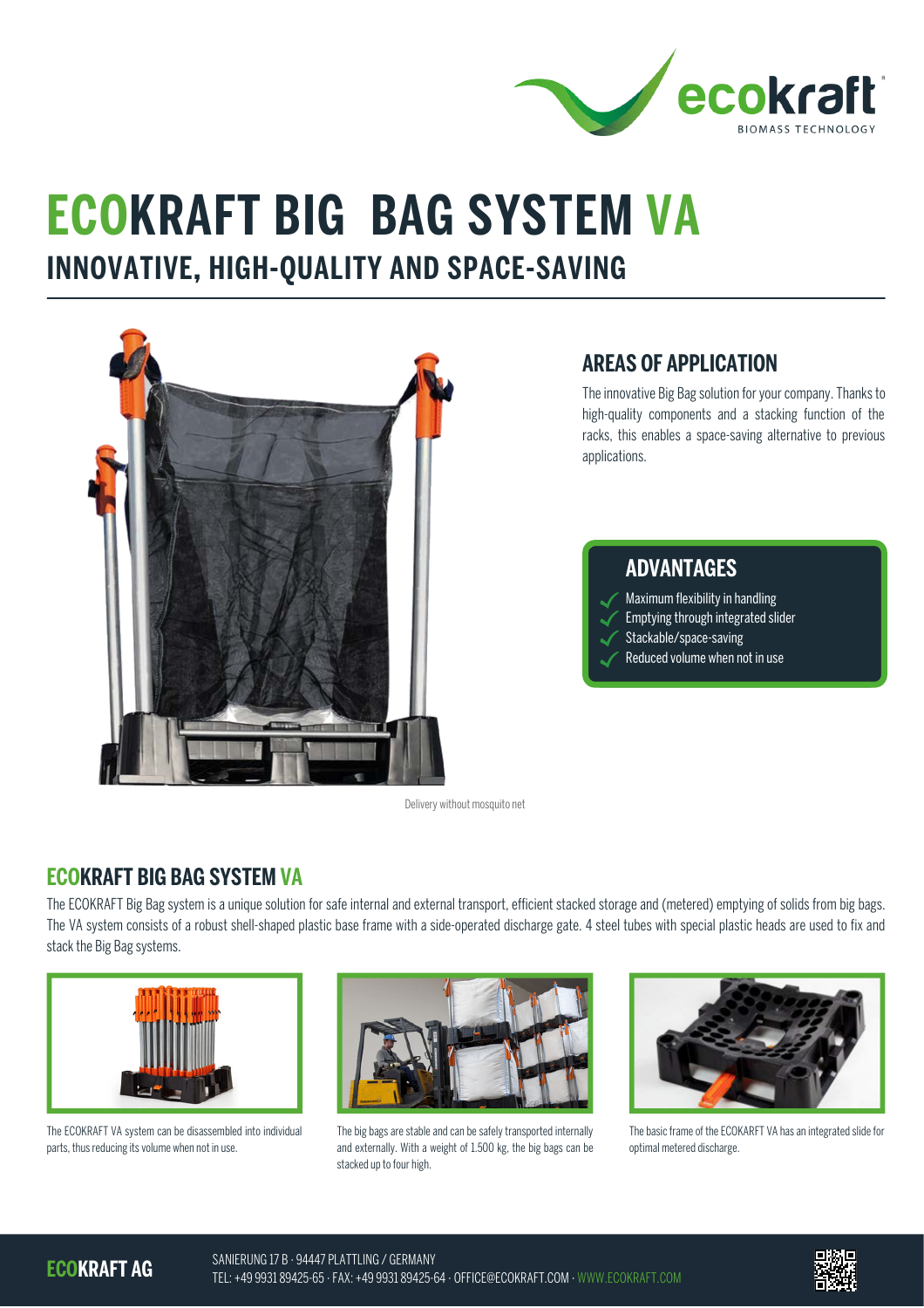

# **ECOKRAFT BIG BAG SYSTEM VA**

## **INNOVATIVE, HIGH-QUALITY AND SPACE-SAVING**



#### **AREAS OF APPLICATION**

The innovative Big Bag solution for your company. Thanks to high-quality components and a stacking function of the racks, this enables a space-saving alternative to previous applications.

#### **ADVANTAGES**

- Maximum flexibility in handling
- Emptying through integrated slider
- Stackable/space-saving
- Reduced volume when not in use

Delivery without mosquito net

### **ECOKRAFT BIG BAG SYSTEM VA**

The ECOKRAFT Big Bag system is a unique solution for safe internal and external transport, efficient stacked storage and (metered) emptying of solids from big bags. The VA system consists of a robust shell-shaped plastic base frame with a side-operated discharge gate. 4 steel tubes with special plastic heads are used to fix and stack the Big Bag systems.



The ECOKRAFT VA system can be disassembled into individual parts, thus reducing its volume when not in use.



The big bags are stable and can be safely transported internally and externally. With a weight of 1.500 kg, the big bags can be stacked up to four high.



The basic frame of the ECOKARFT VA has an integrated slide for optimal metered discharge.